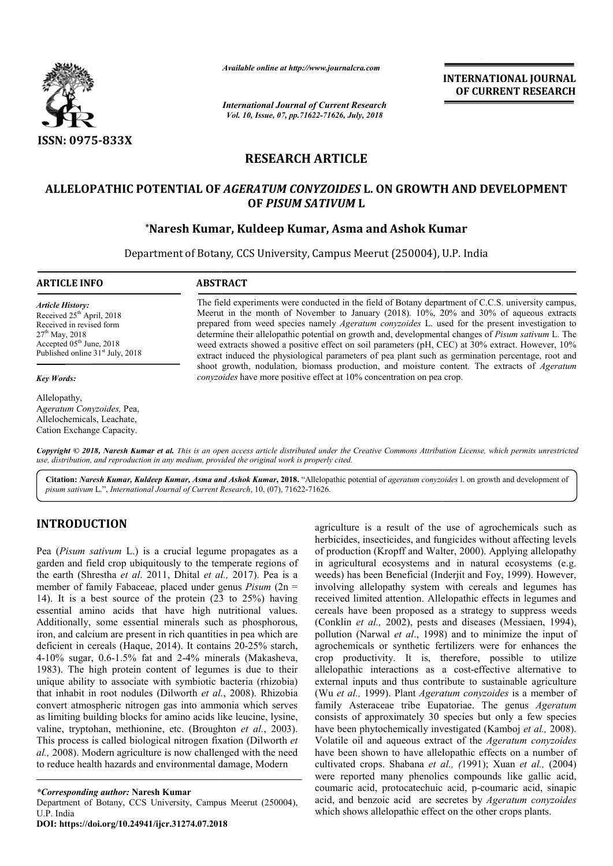

*Available online at http://www.journalcra.com*

*International Journal of Current Research Vol. 10, Issue, 07, pp.71622-71626, July, 2018*

**INTERNATIONAL JOURNAL OF CURRENT RESEARCH**

## **RESEARCH ARTICLE**

# **ALLELOPATHIC POTENTIAL OF**  *AGERATUM CONYZOIDES* **L. ON GROWTH AND DEVELOPMENT**  OTENTIAL OF *AGERATUM CONYZOIDES* L. ON GROWTH AN<br>OF *PISUM SATIVUM* L<br>Naresh Kumar, Kuldeep Kumar, Asma and Ashok Kumar\* **OF** *PISUM SATIVUM* **L**

Department of Botany, CCS University, Campus Meerut (250004), U.P. India

**ARTICLE INFO ABSTRACT**

*Article History:* Received  $25<sup>th</sup>$  April, 2018 Received in revised form  $27^{th}$  May, 2018 Accepted 05<sup>th</sup> June, 2018 Published online  $31<sup>st</sup>$  July, 2018

*Key Words:*

Allelopathy, A*geratum Conyzoides,* Pea, Allelochemicals, Leachate, Cation Exchange Capacity.

The field experiments were conducted in the field of Botany department of C.C.S. university campus, Meerut in the month of November to January (2018)*.* 10%, 20% and 30% of aqueous extracts prepared from weed species namely *Ageratum conyzoides* L. used for the present investigation to determine their allelopathic potential on growth and, developmental changes of Pisum sativum L. The weed extracts showed a positive effect on soil parameters (pH, CEC) at 30% extract. However, 10% extract induced the physiological parameters of pea plant such as germination percentage, root and weed extracts showed a positive effect on soil parameters (pH, CEC) at 30% extract. However, 10% extract induced the physiological parameters of pea plant such as germination percentage, root and shoot growth, nodulation, *conyzoides* have more positive effect at 10% concentration on pea crop. The field experiments were conducted in the field of Botany department of C.C.S. university campus, Meerut in the month of November to January (2018). 10%, 20% and 30% of aqueous extracts prepared from weed species namely

Copyright © 2018, Naresh Kumar et al. This is an open access article distributed under the Creative Commons Attribution License, which permits unrestrictea *use, distribution, and reproduction in any medium, provided the original work is properly cited.*

Citation: *Naresh Kumar, Kuldeep Kumar, Asma and Ashok Kumar, 2018. "Allelopathic potential of <i>ageratum conyzoides* 1. on growth and development of *pisum sativum* L.", *International Journal of Current Research* , 10, (07), 71622-71626.

# **INTRODUCTION**

Pea (*Pisum sativum* L.) is a crucial legume propagates as a garden and field crop ubiquitously to the temperate regions of the earth (Shrestha *et al*. 2011, Dhital *et al.,* 2017). Pea is a member of family Fabaceae, placed under genus *Pisum* (2n = 14). It is a best source of the protein (23 to 25%) having essential amino acids that have high nutritional values. Additionally, some essential minerals such as phosphorous, iron, and calcium are present in rich quantities in pea which are deficient in cereals (Haque, 2014). It contains 20-25% starch, 4-10% sugar, 0.6-1.5% fat and 2-4% minerals (Makasheva, 1983). The high protein content of legumes is due to their unique ability to associate with symbiotic bacteria (rhizobia) that inhabit in root nodules (Dilworth *et al.* convert atmospheric nitrogen gas into ammonia which serves as limiting building blocks for amino acids like leucine, lysine, valine, tryptohan, methionine, etc. (Broughton *et al.*, 2003). This process is called biological nitrogen fixation (Dilworth *et al.,* 2008). Modern agriculture is now challenged with the need to reduce health hazards and environmental damage, Modern % minerals (Makasheva,<br>
legumes is due to their<br>
biotic bacteria (rhizobia)<br>
th *et al.*, 2008). Rhizobia

*\*Corresponding author:* **Naresh Kumar** Department of Botany, CCS University, Campus Meerut (250004), U.P. India

**DOI: https://doi.org/10.24941/ijcr.31274.07.2018**

agriculture is a result of the use of agrochemicals such as<br>
legume propagates as a of production (Kropff and Walter, 2000). Applying alleelopathy<br>
the temperate regions of in agricultural cocosystems and in natural cocos herbicides, insecticides, and fungicides without affecting levels of production (Kropff and Walter, 2000). Applying allelopathy in agricultural ecosystems and in natural ecosystems (e.g. weeds) has been Beneficial (Inderjit and Foy, 1999). However, involving allelopathy system with cereals and legumes has received limited attention. Allelopathic effects in legumes and cereals have been proposed as a strategy to suppress weeds (Conklin *et al.,* 2002), pests and diseases (Messiaen, 1994), pollution (Narwal *et al*., 1998) and to minimize the input of agrochemicals or synthetic fertilizers were for enhances the crop productivity. It is, therefore, possible t allelopathic interactions as a cost-effective alternative to external inputs and thus contribute to sustainable agriculture (Wu *et al.,* 1999). Plant *Ageratum conyzoides* is a member of family Asteraceae tribe Eupatoriae. The genus Ageratum consists of approximately 30 species but only a few species consists of approximately 30 species but only a few species have been phytochemically investigated (Kamboj *et al.*, 2008). Volatile oil and aqueous extract of the *Ageratum conyzoides* have been shown to have allelopathic effects on a number of cultivated crops. Shabana *et al., ( (*1991); Xuan *et al.,* (2004) were reported many phenolics compounds like gallic acid, coumaric acid, protocatechuic acid, p-coumaric acid, sinapic acid, and benzoic acid are secretes by *Ageratum conyzoides* which shows allelopathic effect on the other crops plants. is a result of the use of agrochemicals such as<br>insecticides, and fungicides without affecting levels<br>on (Kropff and Walter, 2000). Applying allelopathy<br>tral ecosystems and in natural ecosystems (e.g.<br>been Beneficial (Inde allelopathy system with cereals and legumes has<br>mited attention. Allelopathic effects in legumes and<br>we been proposed as a strategy to suppress weeds (Conklin *et al.*, 2002), pests and diseases (Messiaen, 1994), pollution (Narwal *et al.*, 1998) and to minimize the input of agrochemicals or synthetic fertilizers were for enhances the crop productivity. It is, therefor **INTERNATIONAL JOURNAL OF CURRENT RESEARCH**<br>
OF CURRENT RESEARCH<br>
OF CURRENT RESEARCH<br>
THE AND DEVELOPMENT<br>
THE AND DEVELOPMENT<br>
20% and 30% of aqueous extracts<br>
20% and 30% of aqueous extracts<br>
and changes of *Pasum sati*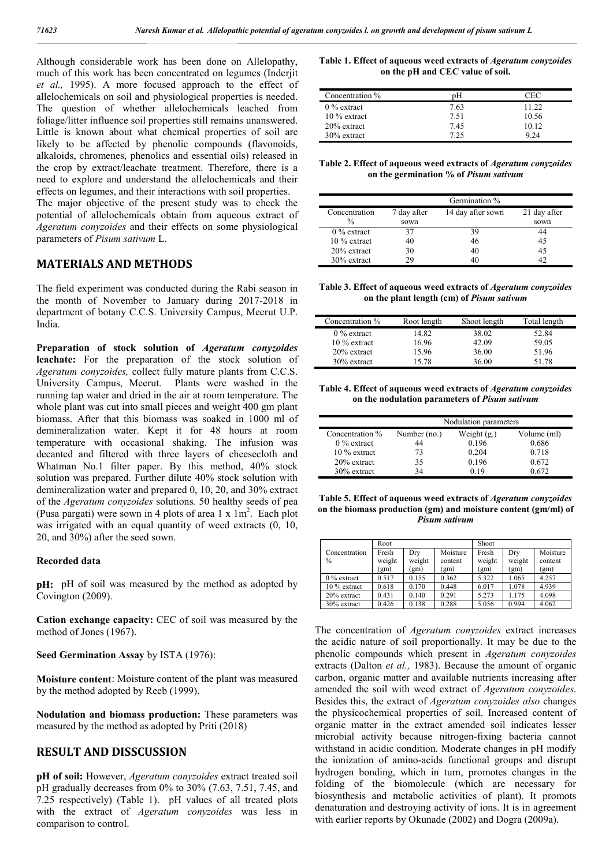Although considerable work has been done on Allelopathy, much of this work has been concentrated on legumes (Inderjit *et al.,* 1995). A more focused approach to the effect of allelochemicals on soil and physiological properties is needed. The question of whether allelochemicals leached from foliage/litter influence soil properties still remains unanswered. Little is known about what chemical properties of soil are likely to be affected by phenolic compounds (flavonoids, alkaloids, chromenes, phenolics and essential oils) released in the crop by extract/leachate treatment. Therefore, there is a need to explore and understand the allelochemicals and their effects on legumes, and their interactions with soil properties.

The major objective of the present study was to check the potential of allelochemicals obtain from aqueous extract of *Ageratum conyzoides* and their effects on some physiological parameters of *Pisum sativum* L.

## **MATERIALS AND METHODS**

The field experiment was conducted during the Rabi season in the month of November to January during 2017-2018 in department of botany C.C.S. University Campus, Meerut U.P. India.

**Preparation of stock solution of** *Ageratum conyzoides* **leachate:** For the preparation of the stock solution of *Ageratum conyzoides,* collect fully mature plants from C.C.S. University Campus, Meerut. Plants were washed in the running tap water and dried in the air at room temperature. The whole plant was cut into small pieces and weight 400 gm plant biomass. After that this biomass was soaked in 1000 ml of demineralization water. Kept it for 48 hours at room temperature with occasional shaking. The infusion was decanted and filtered with three layers of cheesecloth and Whatman No.1 filter paper. By this method, 40% stock solution was prepared. Further dilute 40% stock solution with demineralization water and prepared 0, 10, 20, and 30% extract of the *Ageratum conyzoides* solutions*.* 50 healthy seeds of pea (Pusa pargati) were sown in 4 plots of area  $1 \times 1m^2$ . Each plot was irrigated with an equal quantity of weed extracts  $(0, 10)$ . 20, and 30%) after the seed sown.

#### **Recorded data**

**pH:** pH of soil was measured by the method as adopted by Covington (2009).

**Cation exchange capacity:** CEC of soil was measured by the method of Jones (1967).

**Seed Germination Assay** by ISTA (1976):

**Moisture content**: Moisture content of the plant was measured by the method adopted by Reeb (1999).

**Nodulation and biomass production:** These parameters was measured by the method as adopted by Priti (2018)

## **RESULT AND DISSCUSSION**

**pH of soil:** However, *Ageratum conyzoides* extract treated soil pH gradually decreases from 0% to 30% (7.63, 7.51, 7.45, and 7.25 respectively) (Table 1). pH values of all treated plots with the extract of *Ageratum conyzoides* was less in comparison to control.

**Table 1. Effect of aqueous weed extracts of** *Ageratum conyzoides* **on the pH and CEC value of soil.**

| Concentration % | рH   | CFC   |
|-----------------|------|-------|
| $0\%$ extract   | 7.63 | 11.22 |
| $10\%$ extract  | 751  | 10.56 |
| $20\%$ extract  | 745  | 10.12 |
| 30% extract     | 795  | 9 24  |

**Table 2. Effect of aqueous weed extracts of** *Ageratum conyzoides* **on the germination % of** *Pisum sativum*

|                | Germination %                    |    |              |  |
|----------------|----------------------------------|----|--------------|--|
| Concentration  | 7 day after<br>14 day after sown |    | 21 day after |  |
| $\frac{0}{0}$  | sown                             |    | sown         |  |
| $0\%$ extract  | 37                               | 39 |              |  |
| $10\%$ extract | 40                               | 46 | 45           |  |
| $20\%$ extract | 30                               | 40 | 45           |  |
| $30\%$ extract | 29                               | 40 |              |  |

**Table 3. Effect of aqueous weed extracts of** *Ageratum conyzoides* **on the plant length (cm) of** *Pisum sativum*

| Concentration % | Root length | Shoot length | Total length |
|-----------------|-------------|--------------|--------------|
| $0\%$ extract   | 14.82       | 38.02        | 52.84        |
| $10\%$ extract  | 16.96       | 42.09        | 59.05        |
| 20% extract     | 15.96       | 36.00        | 51.96        |
| 30% extract     | 1578        | 36.00        | 51.78        |

**Table 4. Effect of aqueous weed extracts of** *Ageratum conyzoides* **on the nodulation parameters of** *Pisum sativum*

|                 | Nodulation parameters |               |             |  |
|-----------------|-----------------------|---------------|-------------|--|
| Concentration % | Number (no.)          | Weight $(gr)$ | Volume (ml) |  |
| $0\%$ extract   | 44                    | 0.196         | 0.686       |  |
| $10\%$ extract  | 73                    | 0.204         | 0.718       |  |
| $20\%$ extract  | 35                    | 0.196         | 0.672       |  |
| $30\%$ extract  | 34                    | 0.19          | 0.672       |  |

**Table 5. Effect of aqueous weed extracts of** *Ageratum conyzoides* **on the biomass production (gm) and moisture content (gm/ml) of**  *Pisum sativum*

|                                | Root            |               |                 | Shoot           |               |                 |
|--------------------------------|-----------------|---------------|-----------------|-----------------|---------------|-----------------|
| Concentration<br>$\frac{0}{0}$ | Fresh<br>weight | Dry<br>weight | Moisture        | Fresh<br>weight | Dry<br>weight | Moisture        |
|                                | (gm)            | (gm)          | content<br>(gm) | (gm)            | (gm)          | content<br>(gm) |
| $0\%$ extract                  | 0.517           | 0.155         | 0.362           | 5.322           | 1.065         | 4.257           |
| 10 % extract                   | 0.618           | 0.170         | 0.448           | 6.017           | 1.078         | 4.939           |
| 20% extract                    | 0.431           | 0.140         | 0.291           | 5.273           | 1.175         | 4.098           |
| 30% extract                    | 0.426           | 0.138         | 0.288           | 5.056           | 0.994         | 4.062           |

The concentration of *Ageratum conyzoides* extract increases the acidic nature of soil proportionally. It may be due to the phenolic compounds which present in *Ageratum conyzoides* extracts (Dalton *et al.,* 1983). Because the amount of organic carbon, organic matter and available nutrients increasing after amended the soil with weed extract of *Ageratum conyzoides*. Besides this, the extract of *Ageratum conyzoides also* changes the physicochemical properties of soil. Increased content of organic matter in the extract amended soil indicates lesser microbial activity because nitrogen-fixing bacteria cannot withstand in acidic condition. Moderate changes in pH modify the ionization of amino-acids functional groups and disrupt hydrogen bonding, which in turn, promotes changes in the folding of the biomolecule (which are necessary for biosynthesis and metabolic activities of plant). It promots denaturation and destroying activity of ions. It is in agreement with earlier reports by Okunade (2002) and Dogra (2009a).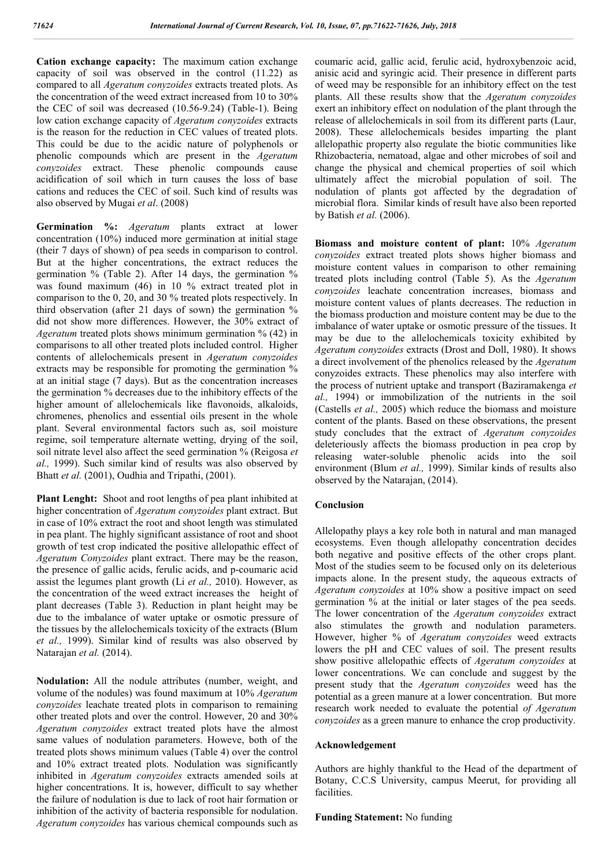**Cation exchange capacity:** The maximum cation exchange capacity of soil was observed in the control (11.22) as compared to all *Ageratum conyzoides* extracts treated plots. As the concentration of the weed extract increased from 10 to 30% the CEC of soil was decreased (10.56-9.24) (Table-1). Being low cation exchange capacity of *Ageratum conyzoides* extracts is the reason for the reduction in CEC values of treated plots. This could be due to the acidic nature of polyphenols or phenolic compounds which are present in the *Ageratum conyzoides* extract. These phenolic compounds cause acidification of soil which in turn causes the loss of base cations and reduces the CEC of soil. Such kind of results was also observed by Mugai *et al*. (2008)

**Germination %:** *Ageratum* plants extract at lower concentration (10%) induced more germination at initial stage (their 7 days of shown) of pea seeds in comparison to control. But at the higher concentrations, the extract reduces the germination % (Table 2). After 14 days, the germination % was found maximum (46) in 10 % extract treated plot in comparison to the 0, 20, and 30 % treated plots respectively. In third observation (after 21 days of sown) the germination % did not show more differences. However, the 30% extract of *Ageratum* treated plots shows minimum germination % (42) in comparisons to all other treated plots included control. Higher contents of allelochemicals present in *Ageratum conyzoides* extracts may be responsible for promoting the germination  $\%$ at an initial stage (7 days). But as the concentration increases the germination % decreases due to the inhibitory effects of the higher amount of allelochemicals like flavonoids, alkaloids, chromenes, phenolics and essential oils present in the whole plant. Several environmental factors such as, soil moisture regime, soil temperature alternate wetting, drying of the soil, soil nitrate level also affect the seed germination % (Reigosa *et al.,* 1999). Such similar kind of results was also observed by Bhatt *et al.* (2001), Oudhia and Tripathi, (2001).

**Plant Lenght:** Shoot and root lengths of pea plant inhibited at higher concentration of *Ageratum conyzoides* plant extract. But in case of 10% extract the root and shoot length was stimulated in pea plant. The highly significant assistance of root and shoot growth of test crop indicated the positive allelopathic effect of *Ageratum Conyzoides* plant extract. There may be the reason, the presence of gallic acids, ferulic acids, and p-coumaric acid assist the legumes plant growth (Li *et al.,* 2010). However, as the concentration of the weed extract increases the height of plant decreases (Table 3). Reduction in plant height may be due to the imbalance of water uptake or osmotic pressure of the tissues by the allelochemicals toxicity of the extracts (Blum *et al.,* 1999). Similar kind of results was also observed by Natarajan *et al.* (2014).

**Nodulation:** All the nodule attributes (number, weight, and volume of the nodules) was found maximum at 10% *Ageratum conyzoides* leachate treated plots in comparison to remaining other treated plots and over the control. However, 20 and 30% *Ageratum conyzoides* extract treated plots have the almost same values of nodulation parameters. Howeve, both of the treated plots shows minimum values (Table 4) over the control and 10% extract treated plots. Nodulation was significantly inhibited in *Ageratum conyzoides* extracts amended soils at higher concentrations. It is, however, difficult to say whether the failure of nodulation is due to lack of root hair formation or inhibition of the activity of bacteria responsible for nodulation. *Ageratum conyzoides* has various chemical compounds such as

coumaric acid, gallic acid, ferulic acid, hydroxybenzoic acid, anisic acid and syringic acid. Their presence in different parts of weed may be responsible for an inhibitory effect on the test plants. All these results show that the *Ageratum conyzoides* exert an inhibitory effect on nodulation of the plant through the release of allelochemicals in soil from its different parts (Laur, 2008). These allelochemicals besides imparting the plant allelopathic property also regulate the biotic communities like Rhizobacteria, nematoad, algae and other microbes of soil and change the physical and chemical properties of soil which ultimately affect the microbial population of soil. The nodulation of plants got affected by the degradation of microbial flora. Similar kinds of result have also been reported by Batish *et al.* (2006).

**Biomass and moisture content of plant:** 10% *Ageratum conyzoides* extract treated plots shows higher biomass and moisture content values in comparison to other remaining treated plots including control (Table 5). As the *Ageratum conyzoides* leachate concentration increases, biomass and moisture content values of plants decreases. The reduction in the biomass production and moisture content may be due to the imbalance of water uptake or osmotic pressure of the tissues. It may be due to the allelochemicals toxicity exhibited by *Ageratum conyzoides* extracts (Drost and Doll, 1980). It shows a direct involvement of the phenolics released by the *Ageratum* conyzoides extracts. These phenolics may also interfere with the process of nutrient uptake and transport (Baziramakenga *et al.,* 1994) or immobilization of the nutrients in the soil (Castells *et al.,* 2005) which reduce the biomass and moisture content of the plants. Based on these observations, the present study concludes that the extract of *Ageratum conyzoides* deleteriously affects the biomass production in pea crop by releasing water-soluble phenolic acids into the soil environment (Blum *et al.,* 1999). Similar kinds of results also observed by the Natarajan, (2014).

### **Conclusion**

Allelopathy plays a key role both in natural and man managed ecosystems. Even though allelopathy concentration decides both negative and positive effects of the other crops plant. Most of the studies seem to be focused only on its deleterious impacts alone. In the present study, the aqueous extracts of *Ageratum conyzoides* at 10% show a positive impact on seed germination % at the initial or later stages of the pea seeds. The lower concentration of the *Ageratum conyzoides* extract also stimulates the growth and nodulation parameters. However, higher % of *Ageratum conyzoides* weed extracts lowers the pH and CEC values of soil. The present results show positive allelopathic effects of *Ageratum conyzoides* at lower concentrations. We can conclude and suggest by the present study that the *Ageratum conyzoides* weed has the potential as a green manure at a lower concentration. But more research work needed to evaluate the potential *of Ageratum conyzoides* as a green manure to enhance the crop productivity.

#### **Acknowledgement**

Authors are highly thankful to the Head of the department of Botany, C.C.S University, campus Meerut, for providing all facilities.

### **Funding Statement:** No funding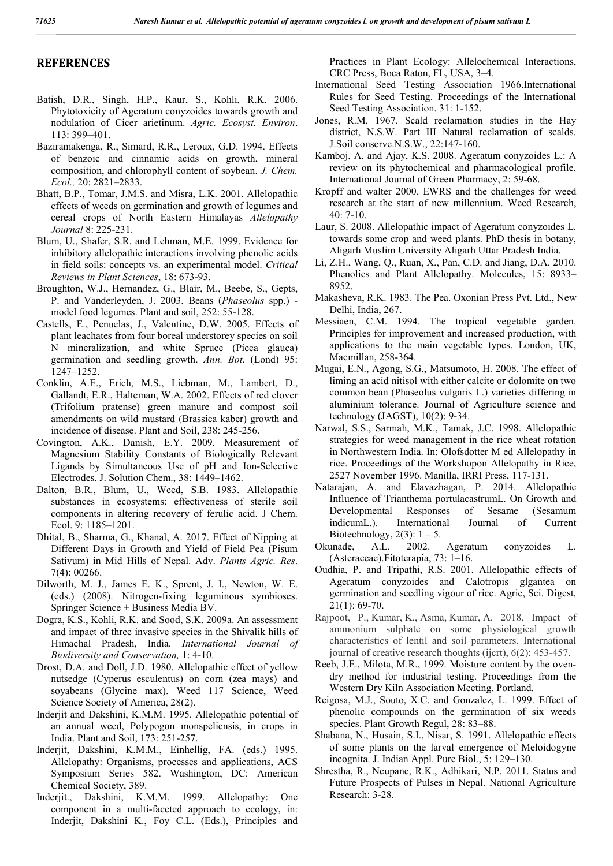## **REFERENCES**

- Batish, D.R., Singh, H.P., Kaur, S., Kohli, R.K. 2006. Phytotoxicity of Ageratum conyzoides towards growth and nodulation of Cicer arietinum. *Agric. Ecosyst. Environ*. 113: 399–401.
- Baziramakenga, R., Simard, R.R., Leroux, G.D. 1994. Effects of benzoic and cinnamic acids on growth, mineral composition, and chlorophyll content of soybean. *J. Chem. Ecol.,* 20: 2821–2833.
- Bhatt, B.P., Tomar, J.M.S. and Misra, L.K. 2001. Allelopathic effects of weeds on germination and growth of legumes and cereal crops of North Eastern Himalayas *Allelopathy Journal* 8: 225-231.
- Blum, U., Shafer, S.R. and Lehman, M.E. 1999. Evidence for inhibitory allelopathic interactions involving phenolic acids in field soils: concepts vs. an experimental model. *Critical Reviews in Plant Sciences*, 18: 673-93.
- Broughton, W.J., Hernandez, G., Blair, M., Beebe, S., Gepts, P. and Vanderleyden, J. 2003. Beans (*Phaseolus* spp.) model food legumes. Plant and soil, 252: 55-128.
- Castells, E., Penuelas, J., Valentine, D.W. 2005. Effects of plant leachates from four boreal understorey species on soil N mineralization, and white Spruce (Picea glauca) germination and seedling growth. *Ann. Bot*. (Lond) 95: 1247–1252.
- Conklin, A.E., Erich, M.S., Liebman, M., Lambert, D., Gallandt, E.R., Halteman, W.A. 2002. Effects of red clover (Trifolium pratense) green manure and compost soil amendments on wild mustard (Brassica kaber) growth and incidence of disease. Plant and Soil, 238: 245-256.
- Covington, A.K., Danish, E.Y. 2009. Measurement of Magnesium Stability Constants of Biologically Relevant Ligands by Simultaneous Use of pH and Ion-Selective Electrodes. J. Solution Chem., 38: 1449–1462.
- Dalton, B.R., Blum, U., Weed, S.B. 1983. Allelopathic substances in ecosystems: effectiveness of sterile soil components in altering recovery of ferulic acid. J Chem. Ecol. 9: 1185–1201.
- Dhital, B., Sharma, G., Khanal, A. 2017. Effect of Nipping at Different Days in Growth and Yield of Field Pea (Pisum Sativum) in Mid Hills of Nepal. Adv. *Plants Agric. Res*. 7(4): 00266.
- Dilworth, M. J., James E. K., Sprent, J. I., Newton, W. E. (eds.) (2008). Nitrogen-fixing leguminous symbioses. Springer Science + Business Media BV.
- Dogra, K.S., Kohli, R.K. and Sood, S.K. 2009a. An assessment and impact of three invasive species in the Shivalik hills of Himachal Pradesh, India. *International Journal of Biodiversity and Conservation,* 1: 4-10.
- Drost, D.A. and Doll, J.D. 1980. Allelopathic effect of yellow nutsedge (Cyperus esculentus) on corn (zea mays) and soyabeans (Glycine max). Weed 117 Science, Weed Science Society of America, 28(2).
- Inderjit and Dakshini, K.M.M. 1995. Allelopathic potential of an annual weed, Polypogon monspeliensis, in crops in India. Plant and Soil, 173: 251-257.
- Inderjit, Dakshini, K.M.M., Einhellig, FA. (eds.) 1995. Allelopathy: Organisms, processes and applications, ACS Symposium Series 582. Washington, DC: American Chemical Society, 389.
- Inderjit., Dakshini, K.M.M. 1999. Allelopathy: One component in a multi-faceted approach to ecology, in: Inderjit, Dakshini K., Foy C.L. (Eds.), Principles and

Practices in Plant Ecology: Allelochemical Interactions, CRC Press, Boca Raton, FL, USA, 3–4.

- International Seed Testing Association 1966.International Rules for Seed Testing. Proceedings of the International Seed Testing Association. 31: 1-152.
- Jones, R.M. 1967. Scald reclamation studies in the Hay district, N.S.W. Part III Natural reclamation of scalds. J.Soil conserve.N.S.W., 22:147-160.
- Kamboj, A. and Ajay, K.S. 2008. Ageratum conyzoides L.: A review on its phytochemical and pharmacological profile. International Journal of Green Pharmacy, 2: 59-68.
- Kropff and walter 2000. EWRS and the challenges for weed research at the start of new millennium. Weed Research, 40: 7-10.
- Laur, S. 2008. Allelopathic impact of Ageratum conyzoides L. towards some crop and weed plants. PhD thesis in botany, Aligarh Muslim University Aligarh Uttar Pradesh India.
- Li, Z.H., Wang, Q., Ruan, X., Pan, C.D. and Jiang, D.A. 2010. Phenolics and Plant Allelopathy. Molecules, 15: 8933– 8952.
- Makasheva, R.K. 1983. The Pea. Oxonian Press Pvt. Ltd., New Delhi, India, 267.
- Messiaen, C.M. 1994. The tropical vegetable garden. Principles for improvement and increased production, with applications to the main vegetable types. London, UK, Macmillan, 258-364.
- Mugai, E.N., Agong, S.G., Matsumoto, H. 2008. The effect of liming an acid nitisol with either calcite or dolomite on two common bean (Phaseolus vulgaris L.) varieties differing in aluminium tolerance. Journal of Agriculture science and technology (JAGST), 10(2): 9-34.
- Narwal, S.S., Sarmah, M.K., Tamak, J.C. 1998. Allelopathic strategies for weed management in the rice wheat rotation in Northwestern India. In: Olofsdotter M ed Allelopathy in rice. Proceedings of the Workshopon Allelopathy in Rice, 2527 November 1996. Manilla, IRRI Press, 117-131.
- Natarajan, A. and Elavazhagan, P. 2014. Allelopathic Influence of Trianthema portulacastrumL. On Growth and Developmental Responses of Sesame (Sesamum indicumL.). International Journal of Current Biotechnology,  $2(3)$ :  $1 - 5$ .
- Okunade, A.L. 2002. Ageratum conyzoides L. (Asteraceae).Fitoterapia, 73: 1–16.
- Oudhia, P. and Tripathi, R.S. 2001. Allelopathic effects of Ageratum conyzoides and Calotropis glgantea on germination and seedling vigour of rice. Agric, Sci. Digest, 21(1): 69-70.
- Rajpoot, P., Kumar, K., Asma, Kumar, A. 2018. Impact of ammonium sulphate on some physiological growth characteristics of lentil and soil parameters. International journal of creative research thoughts (ijcrt), 6(2): 453-457.
- Reeb, J.E., Milota, M.R., 1999. Moisture content by the ovendry method for industrial testing. Proceedings from the Western Dry Kiln Association Meeting. Portland.
- Reigosa, M.J., Souto, X.C. and Gonzalez, L. 1999. Effect of phenolic compounds on the germination of six weeds species. Plant Growth Regul, 28: 83–88.
- Shabana, N., Husain, S.I., Nisar, S. 1991. Allelopathic effects of some plants on the larval emergence of Meloidogyne incognita. J. Indian Appl. Pure Biol., 5: 129–130.
- Shrestha, R., Neupane, R.K., Adhikari, N.P. 2011. Status and Future Prospects of Pulses in Nepal. National Agriculture Research: 3-28.